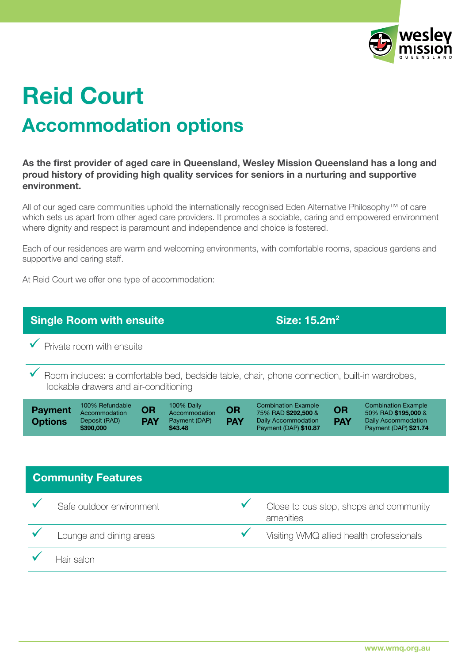

## Accommodation options Reid Court

As the first provider of aged care in Queensland, Wesley Mission Queensland has a long and proud history of providing high quality services for seniors in a nurturing and supportive environment.

All of our aged care communities uphold the internationally recognised Eden Alternative Philosophy™ of care which sets us apart from other aged care providers. It promotes a sociable, caring and empowered environment where dignity and respect is paramount and independence and choice is fostered.

Each of our residences are warm and welcoming environments, with comfortable rooms, spacious gardens and supportive and caring staff.

At Reid Court we offer one type of accommodation: